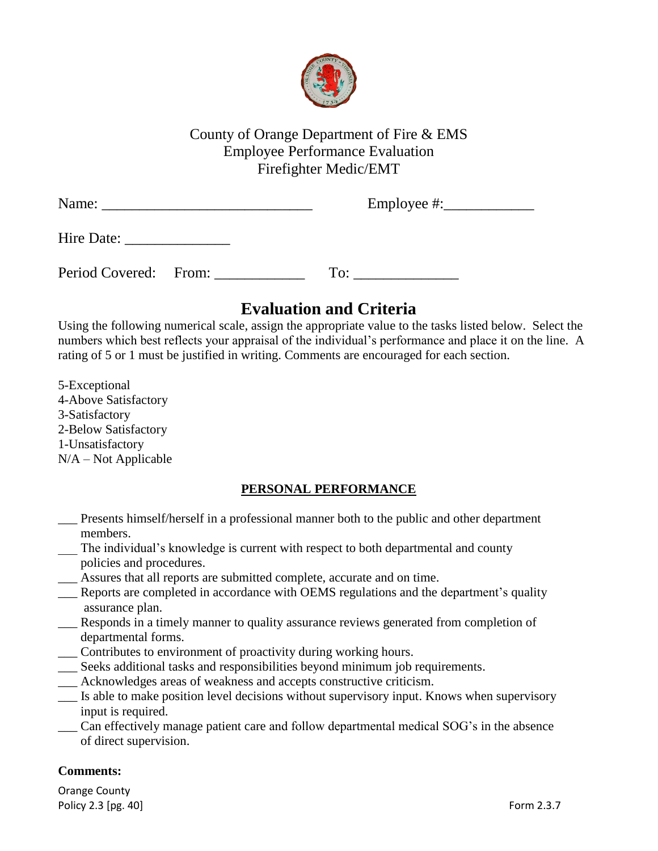

# County of Orange Department of Fire & EMS Employee Performance Evaluation Firefighter Medic/EMT

| Name:                 | Employee $\#$ : |
|-----------------------|-----------------|
| Hire Date:            |                 |
| Period Covered: From: | To:             |

# **Evaluation and Criteria**

Using the following numerical scale, assign the appropriate value to the tasks listed below. Select the numbers which best reflects your appraisal of the individual's performance and place it on the line. A rating of 5 or 1 must be justified in writing. Comments are encouraged for each section.

5-Exceptional 4-Above Satisfactory 3-Satisfactory 2-Below Satisfactory 1-Unsatisfactory N/A – Not Applicable

## **PERSONAL PERFORMANCE**

- \_\_\_ Presents himself/herself in a professional manner both to the public and other department members.
- The individual's knowledge is current with respect to both departmental and county policies and procedures.
- \_\_\_ Assures that all reports are submitted complete, accurate and on time.
- \_\_\_ Reports are completed in accordance with OEMS regulations and the department's quality assurance plan.
- Responds in a timely manner to quality assurance reviews generated from completion of departmental forms.
- \_\_\_ Contributes to environment of proactivity during working hours.
- \_\_\_ Seeks additional tasks and responsibilities beyond minimum job requirements.
- Acknowledges areas of weakness and accepts constructive criticism.
- \_\_\_ Is able to make position level decisions without supervisory input. Knows when supervisory input is required.
- \_\_\_ Can effectively manage patient care and follow departmental medical SOG's in the absence of direct supervision.

### **Comments:**

Orange County Policy 2.3 [pg. 40] Form 2.3.7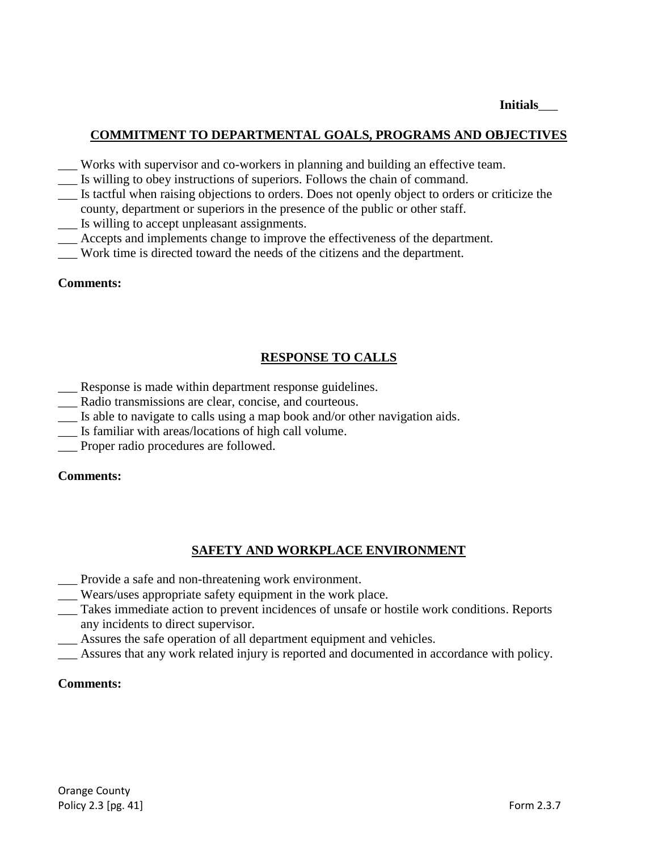**Initials**\_\_\_

### **COMMITMENT TO DEPARTMENTAL GOALS, PROGRAMS AND OBJECTIVES**

- \_\_\_ Works with supervisor and co-workers in planning and building an effective team.
- \_\_\_ Is willing to obey instructions of superiors. Follows the chain of command.
- \_\_\_ Is tactful when raising objections to orders. Does not openly object to orders or criticize the county, department or superiors in the presence of the public or other staff.
- \_\_\_ Is willing to accept unpleasant assignments.
- \_\_\_ Accepts and implements change to improve the effectiveness of the department.
- \_\_\_ Work time is directed toward the needs of the citizens and the department.

#### **Comments:**

### **RESPONSE TO CALLS**

- \_\_\_ Response is made within department response guidelines.
- \_\_\_ Radio transmissions are clear, concise, and courteous.
- \_\_\_ Is able to navigate to calls using a map book and/or other navigation aids.
- \_\_\_ Is familiar with areas/locations of high call volume.
- \_\_\_ Proper radio procedures are followed.

#### **Comments:**

### **SAFETY AND WORKPLACE ENVIRONMENT**

- \_\_\_ Provide a safe and non-threatening work environment.
- \_\_\_ Wears/uses appropriate safety equipment in the work place.
- \_\_\_ Takes immediate action to prevent incidences of unsafe or hostile work conditions. Reports any incidents to direct supervisor.
- Assures the safe operation of all department equipment and vehicles.
- Assures that any work related injury is reported and documented in accordance with policy.

#### **Comments:**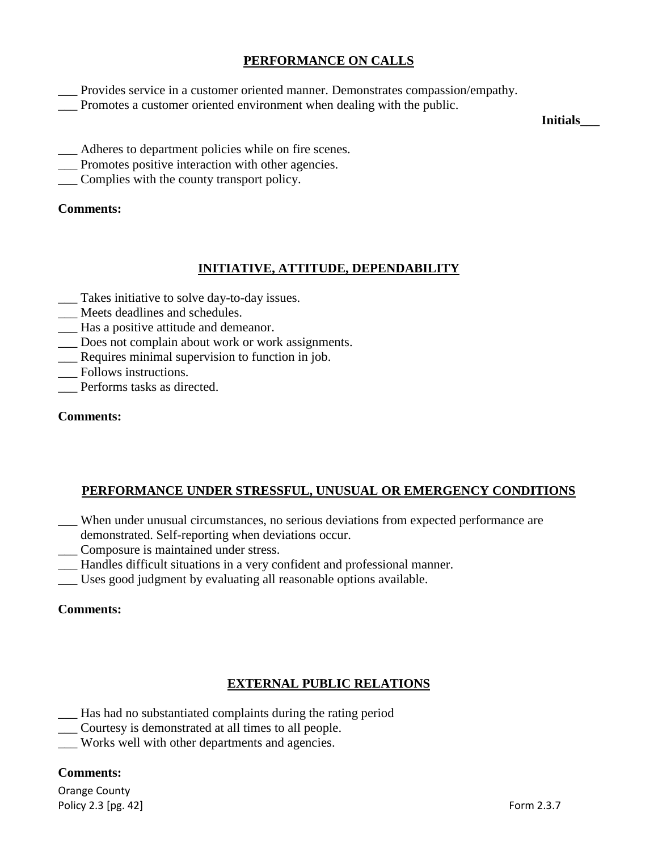### **PERFORMANCE ON CALLS**

- \_\_\_ Provides service in a customer oriented manner. Demonstrates compassion/empathy.
- \_\_\_ Promotes a customer oriented environment when dealing with the public.

**Initials\_\_\_**

- \_\_\_ Adheres to department policies while on fire scenes.
- \_\_\_ Promotes positive interaction with other agencies.
- \_\_\_ Complies with the county transport policy.

### **Comments:**

### **INITIATIVE, ATTITUDE, DEPENDABILITY**

- \_\_\_ Takes initiative to solve day-to-day issues.
- Meets deadlines and schedules.
- \_\_\_ Has a positive attitude and demeanor.
- \_\_\_ Does not complain about work or work assignments.
- \_\_\_ Requires minimal supervision to function in job.
- Follows instructions.
- \_\_\_ Performs tasks as directed.

### **Comments:**

### **PERFORMANCE UNDER STRESSFUL, UNUSUAL OR EMERGENCY CONDITIONS**

- When under unusual circumstances, no serious deviations from expected performance are demonstrated. Self-reporting when deviations occur.
- \_\_\_ Composure is maintained under stress.
- \_\_\_ Handles difficult situations in a very confident and professional manner.
- \_\_\_ Uses good judgment by evaluating all reasonable options available.

#### **Comments:**

### **EXTERNAL PUBLIC RELATIONS**

- \_\_\_ Has had no substantiated complaints during the rating period
- \_\_\_ Courtesy is demonstrated at all times to all people.
- \_\_\_ Works well with other departments and agencies.

#### **Comments:**

Orange County Policy 2.3 [pg. 42] Form 2.3.7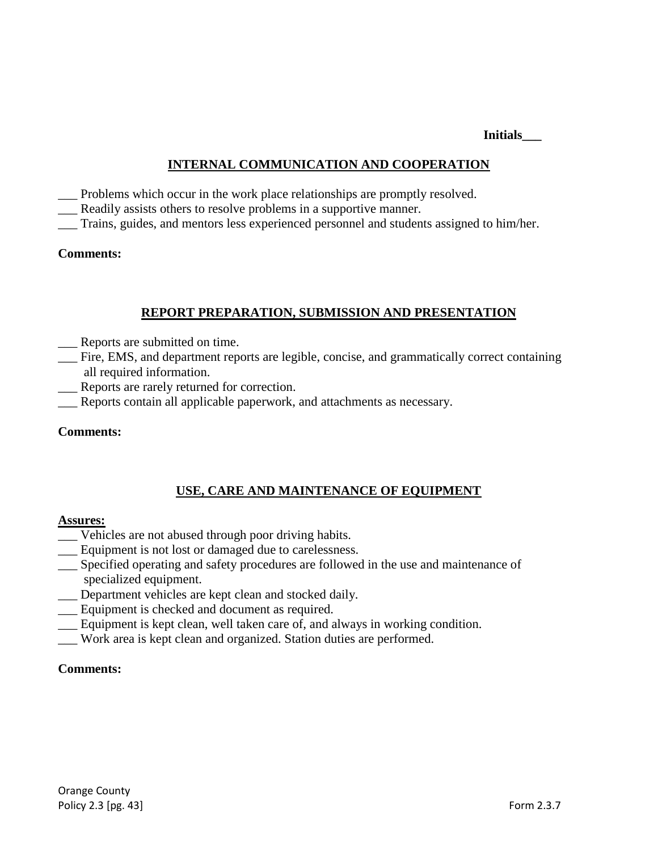**Initials\_\_\_**

### **INTERNAL COMMUNICATION AND COOPERATION**

- \_\_\_ Problems which occur in the work place relationships are promptly resolved.
- Readily assists others to resolve problems in a supportive manner.
- \_\_\_ Trains, guides, and mentors less experienced personnel and students assigned to him/her.

### **Comments:**

### **REPORT PREPARATION, SUBMISSION AND PRESENTATION**

- Reports are submitted on time.
- \_\_\_ Fire, EMS, and department reports are legible, concise, and grammatically correct containing all required information.
- Reports are rarely returned for correction.
- Reports contain all applicable paperwork, and attachments as necessary.

### **Comments:**

### **USE, CARE AND MAINTENANCE OF EQUIPMENT**

#### **Assures:**

- \_\_\_ Vehicles are not abused through poor driving habits.
- \_\_\_ Equipment is not lost or damaged due to carelessness.
- \_\_\_ Specified operating and safety procedures are followed in the use and maintenance of specialized equipment.
- Department vehicles are kept clean and stocked daily.
- Equipment is checked and document as required.
- \_\_\_ Equipment is kept clean, well taken care of, and always in working condition.
- \_\_\_ Work area is kept clean and organized. Station duties are performed.

#### **Comments:**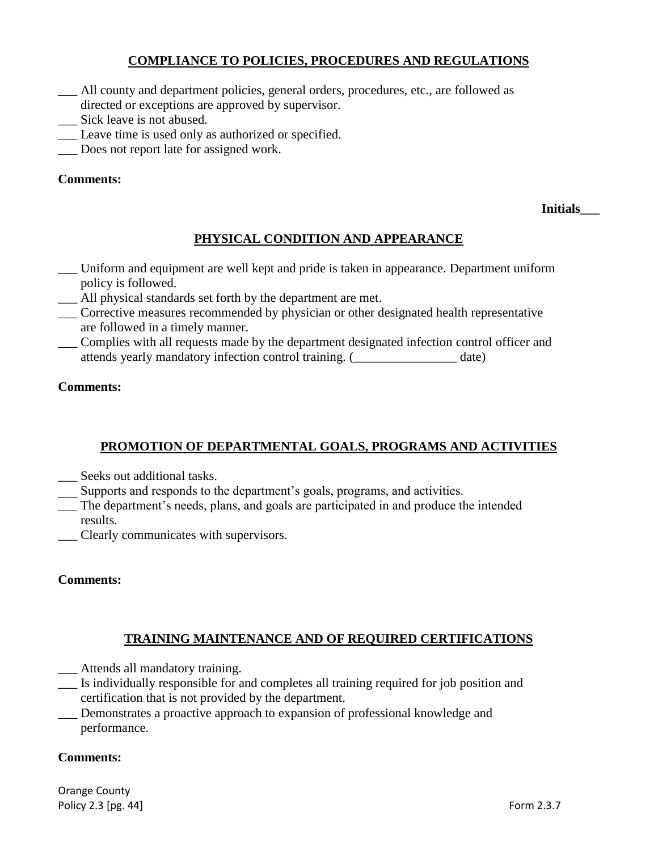### **COMPLIANCE TO POLICIES, PROCEDURES AND REGULATIONS**

- \_\_\_ All county and department policies, general orders, procedures, etc., are followed as
- directed or exceptions are approved by supervisor.
- \_\_\_ Sick leave is not abused.
- \_\_\_ Leave time is used only as authorized or specified.
- \_\_\_ Does not report late for assigned work.

### **Comments:**

**Initials\_\_\_**

### **PHYSICAL CONDITION AND APPEARANCE**

- \_\_\_ Uniform and equipment are well kept and pride is taken in appearance. Department uniform policy is followed.
- \_\_\_ All physical standards set forth by the department are met.
- \_\_\_ Corrective measures recommended by physician or other designated health representative are followed in a timely manner.
- \_\_\_ Complies with all requests made by the department designated infection control officer and attends yearly mandatory infection control training. (\_\_\_\_\_\_\_\_\_\_\_\_\_\_\_\_ date)

### **Comments:**

### **PROMOTION OF DEPARTMENTAL GOALS, PROGRAMS AND ACTIVITIES**

- \_\_\_ Seeks out additional tasks.
- Supports and responds to the department's goals, programs, and activities.
- \_\_\_ The department's needs, plans, and goals are participated in and produce the intended results.
- \_\_\_ Clearly communicates with supervisors.

#### **Comments:**

### **TRAINING MAINTENANCE AND OF REQUIRED CERTIFICATIONS**

- \_\_\_ Attends all mandatory training.
- \_\_\_ Is individually responsible for and completes all training required for job position and certification that is not provided by the department.

Demonstrates a proactive approach to expansion of professional knowledge and performance.

#### **Comments:**

Orange County Policy 2.3 [pg. 44] **Form 2.3.7**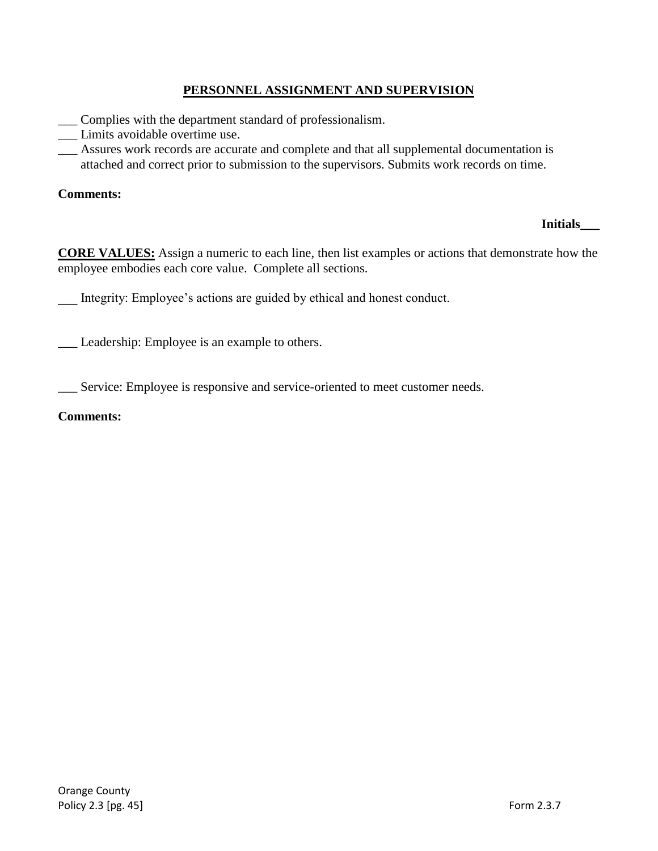### **PERSONNEL ASSIGNMENT AND SUPERVISION**

- Complies with the department standard of professionalism.
- \_\_\_ Limits avoidable overtime use.
- \_\_\_ Assures work records are accurate and complete and that all supplemental documentation is attached and correct prior to submission to the supervisors. Submits work records on time.

### **Comments:**

### **Initials\_\_\_**

**CORE VALUES:** Assign a numeric to each line, then list examples or actions that demonstrate how the employee embodies each core value. Complete all sections.

Integrity: Employee's actions are guided by ethical and honest conduct.

\_\_\_ Leadership: Employee is an example to others.

\_\_\_ Service: Employee is responsive and service-oriented to meet customer needs.

#### **Comments:**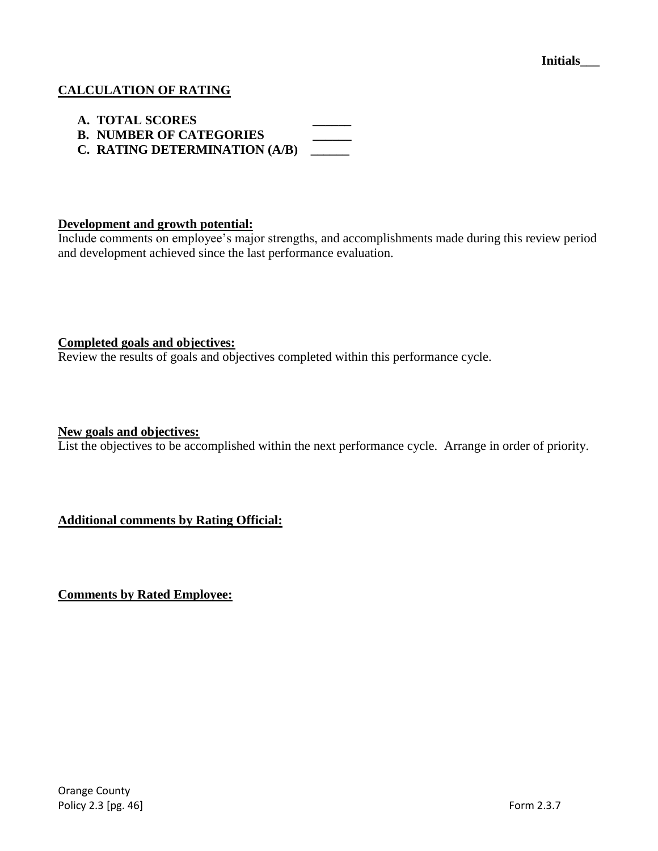### **CALCULATION OF RATING**

- **A. TOTAL SCORES \_\_\_\_\_\_**
- **B. NUMBER OF CATEGORIES**
- **C. RATING DETERMINATION (A/B) \_\_\_\_\_\_**

### **Development and growth potential:**

Include comments on employee's major strengths, and accomplishments made during this review period and development achieved since the last performance evaluation.

#### **Completed goals and objectives:**

Review the results of goals and objectives completed within this performance cycle.

#### **New goals and objectives:**

List the objectives to be accomplished within the next performance cycle. Arrange in order of priority.

**Additional comments by Rating Official:**

**Comments by Rated Employee:**